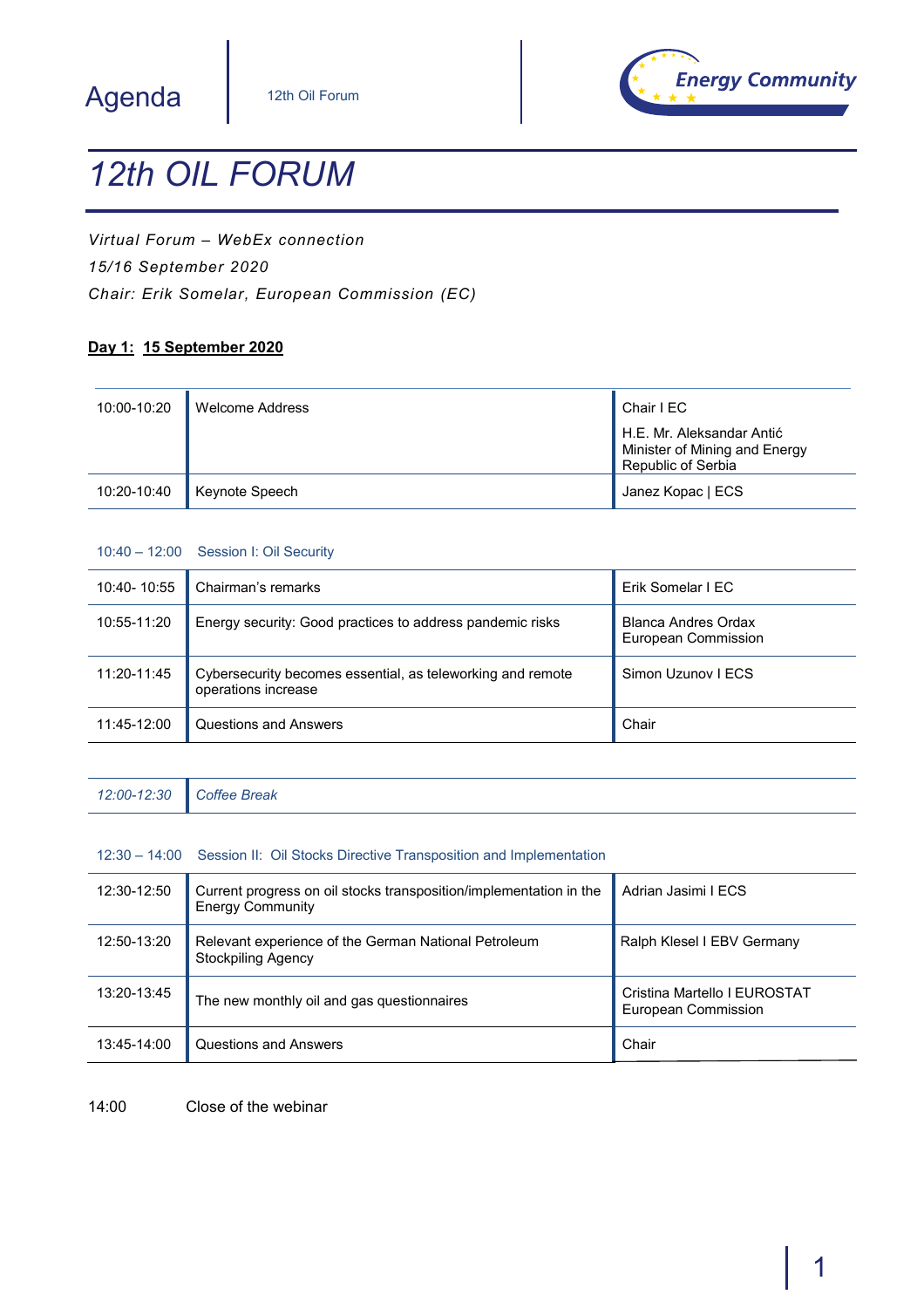## Agenda



# *12th OIL FORUM*

*Virtual Forum – WebEx connection 15/16 September 2020 Chair: Erik Somelar, European Commission (EC)*

#### **Day 1: 15 September 2020**

| 10:00-10:20 | Welcome Address | Chair I EC                                                                       |
|-------------|-----------------|----------------------------------------------------------------------------------|
|             |                 | H.E. Mr. Aleksandar Antić<br>Minister of Mining and Energy<br>Republic of Serbia |
| 10:20-10:40 | Keynote Speech  | Janez Kopac   ECS                                                                |

#### 10:40 – 12:00 Session I: Oil Security

| 10:40-10:55 | Chairman's remarks                                                                | Erik Somelar I EC                                 |
|-------------|-----------------------------------------------------------------------------------|---------------------------------------------------|
| 10:55-11:20 | Energy security: Good practices to address pandemic risks                         | <b>Blanca Andres Ordax</b><br>European Commission |
| 11:20-11:45 | Cybersecurity becomes essential, as teleworking and remote<br>operations increase | Simon Uzunov I ECS                                |
| 11:45-12:00 | Questions and Answers                                                             | Chair                                             |

| 12:00-12:30 | Coffee Break |  |  |  |  |
|-------------|--------------|--|--|--|--|
|-------------|--------------|--|--|--|--|

#### 12:30 – 14:00 Session II: Oil Stocks Directive Transposition and Implementation

| 12:30-12:50 | Current progress on oil stocks transposition/implementation in the<br><b>Energy Community</b> | Adrian Jasimi I ECS                                 |
|-------------|-----------------------------------------------------------------------------------------------|-----------------------------------------------------|
| 12:50-13:20 | Relevant experience of the German National Petroleum<br><b>Stockpiling Agency</b>             | Ralph Klesel I EBV Germany                          |
| 13:20-13:45 | The new monthly oil and gas questionnaires                                                    | Cristina Martello I EUROSTAT<br>European Commission |
| 13:45-14:00 | Questions and Answers                                                                         | Chair                                               |

14:00 Close of the webinar